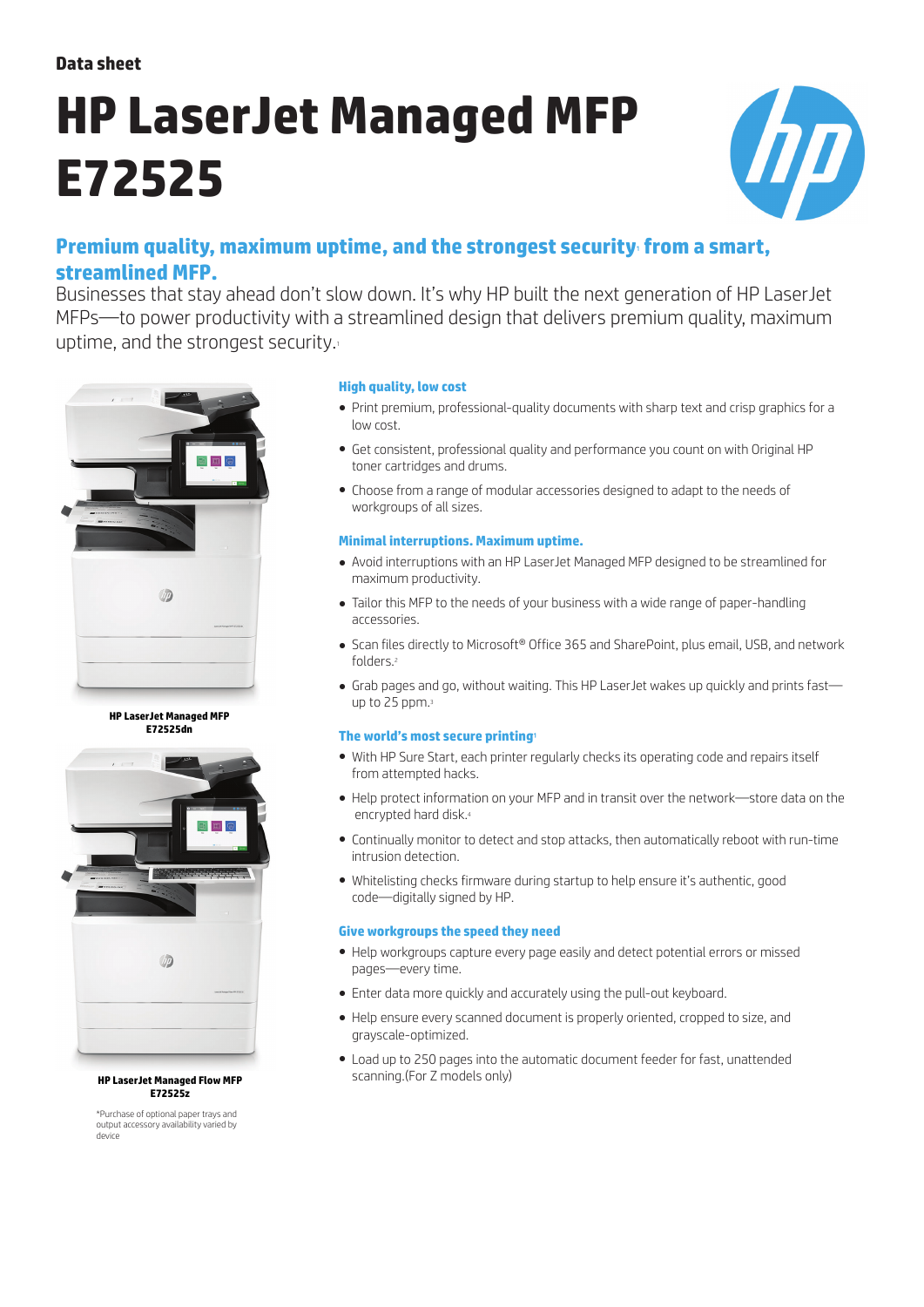**Data sheet**

# **HP LaserJet Managed MFP E72525**



# **Premium quality, maximum uptime, and the strongest security from a smart, streamlined MFP.**

Businesses that stay ahead don't slow down. It's why HP built the next generation of HP LaserJet MFPs—to power productivity with a streamlined design that delivers premium quality, maximum uptime, and the strongest security.<sup>1</sup>



**HP LaserJet Managed MFP E72525dn**



#### **HP LaserJet Managed Flow MFP E72525z**

\*Purchase of optional paper trays and output accessory availability varied by device

# **High quality, low cost**

- Print premium, professional-quality documents with sharp text and crisp graphics for a low cost.
- Get consistent, professional quality and performance you count on with Original HP toner cartridges and drums.
- Choose from a range of modular accessories designed to adapt to the needs of workgroups of all sizes.

## **Minimal interruptions. Maximum uptime.**

- Avoid interruptions with an HP LaserJet Managed MFP designed to be streamlined for maximum productivity.
- Tailor this MFP to the needs of your business with a wide range of paper-handling accessories.
- Scan files directly to Microsoft® Office 365 and SharePoint, plus email, USB, and network folders<sup>2</sup>
- Grab pages and go, without waiting. This HP LaserJet wakes up quickly and prints fast up to 25 ppm.<sup>3</sup>

# **The world's most secure printing**<sup>1</sup>

- With HP Sure Start, each printer regularly checks its operating code and repairs itself from attempted hacks.
- Help protect information on your MFP and in transit over the network—store data on the encrypted hard disk.<sup>4</sup>
- Continually monitor to detect and stop attacks, then automatically reboot with run-time intrusion detection.
- Whitelisting checks firmware during startup to help ensure it's authentic, good code—digitally signed by HP.

# **Give workgroups the speed they need**

- Help workgroups capture every page easily and detect potential errors or missed pages—every time.
- Enter data more quickly and accurately using the pull-out keyboard.
- Help ensure every scanned document is properly oriented, cropped to size, and grayscale-optimized.
- Load up to 250 pages into the automatic document feeder for fast, unattended scanning.(For Z models only)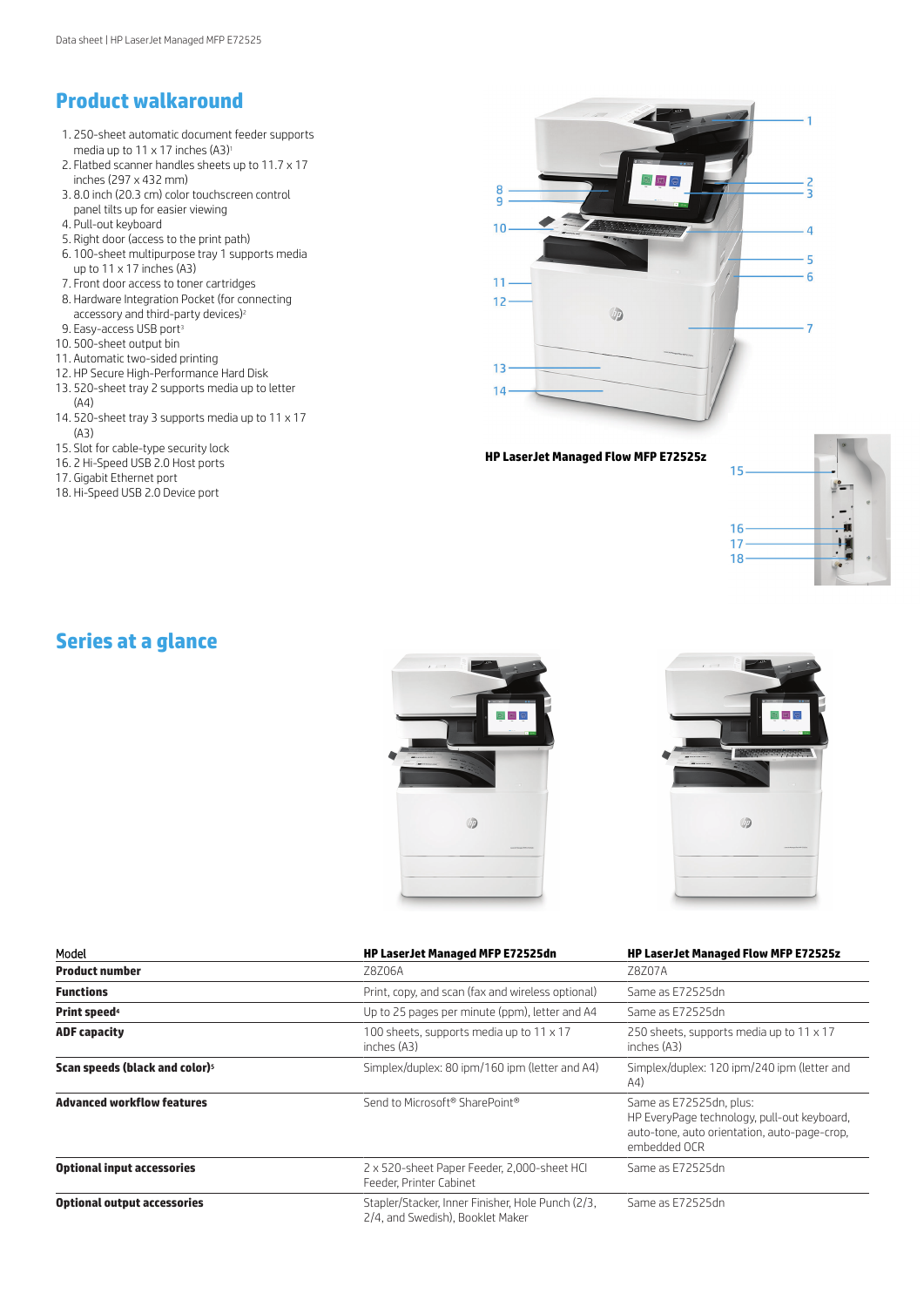# **Product walkaround**

- 1. 250-sheet automatic document feeder supports media up to 11 x 17 inches  $(A3)^{1}$
- 2. Flatbed scanner handles sheets up to 11.7 x 17 inches (297 x 432 mm)
- 3. 8.0 inch (20.3 cm) color touchscreen control panel tilts up for easier viewing
- 4. Pull-out keyboard
- 5. Right door (access to the print path)
- 6. 100-sheet multipurpose tray 1 supports media up to 11 x 17 inches (A3)
- 7. Front door access to toner cartridges
- 8. Hardware Integration Pocket (for connecting accessory and third-party devices)<sup>2</sup>
- 9. Easy-access USB port<sup>3</sup>
- 10. 500-sheet output bin
- 11. Automatic two-sided printing
- 12. HP Secure High-Performance Hard Disk
- 13. 520-sheet tray 2 supports media up to letter (A4)
- 14. 520-sheet tray 3 supports media up to 11 x 17 (A3)
- 15. Slot for cable-type security lock
- 16. 2 Hi-Speed USB 2.0 Host ports
- 17. Gigabit Ethernet port
- 18. Hi-Speed USB 2.0 Device port



**HP LaserJet Managed Flow MFP E72525z**



# **Series at a glance**





| Model                                      | <b>HP LaserJet Managed MFP E72525dn</b>                                               | <b>HP LaserJet Managed Flow MFP E72525z</b>                                                                                            |
|--------------------------------------------|---------------------------------------------------------------------------------------|----------------------------------------------------------------------------------------------------------------------------------------|
| <b>Product number</b>                      | Z8Z06A                                                                                | 78707A                                                                                                                                 |
| <b>Functions</b>                           | Print, copy, and scan (fax and wireless optional)                                     | Same as E72525dn                                                                                                                       |
| <b>Print speed</b> <sup>4</sup>            | Up to 25 pages per minute (ppm), letter and A4                                        | Same as E72525dn                                                                                                                       |
| <b>ADF capacity</b>                        | 100 sheets, supports media up to 11 x 17<br>inches (A3)                               | 250 sheets, supports media up to 11 x 17<br>inches (A3)                                                                                |
| Scan speeds (black and color) <sup>5</sup> | Simplex/duplex: 80 ipm/160 ipm (letter and A4)                                        | Simplex/duplex: 120 ipm/240 ipm (letter and<br>A4)                                                                                     |
| <b>Advanced workflow features</b>          | Send to Microsoft® SharePoint®                                                        | Same as E72525dn, plus:<br>HP EveryPage technology, pull-out keyboard,<br>auto-tone, auto orientation, auto-page-crop.<br>embedded OCR |
| <b>Optional input accessories</b>          | 2 x 520-sheet Paper Feeder, 2,000-sheet HCI<br>Feeder, Printer Cabinet                | Same as E72525dn                                                                                                                       |
| <b>Optional output accessories</b>         | Stapler/Stacker, Inner Finisher, Hole Punch (2/3,<br>2/4, and Swedish), Booklet Maker | Same as E72525dn                                                                                                                       |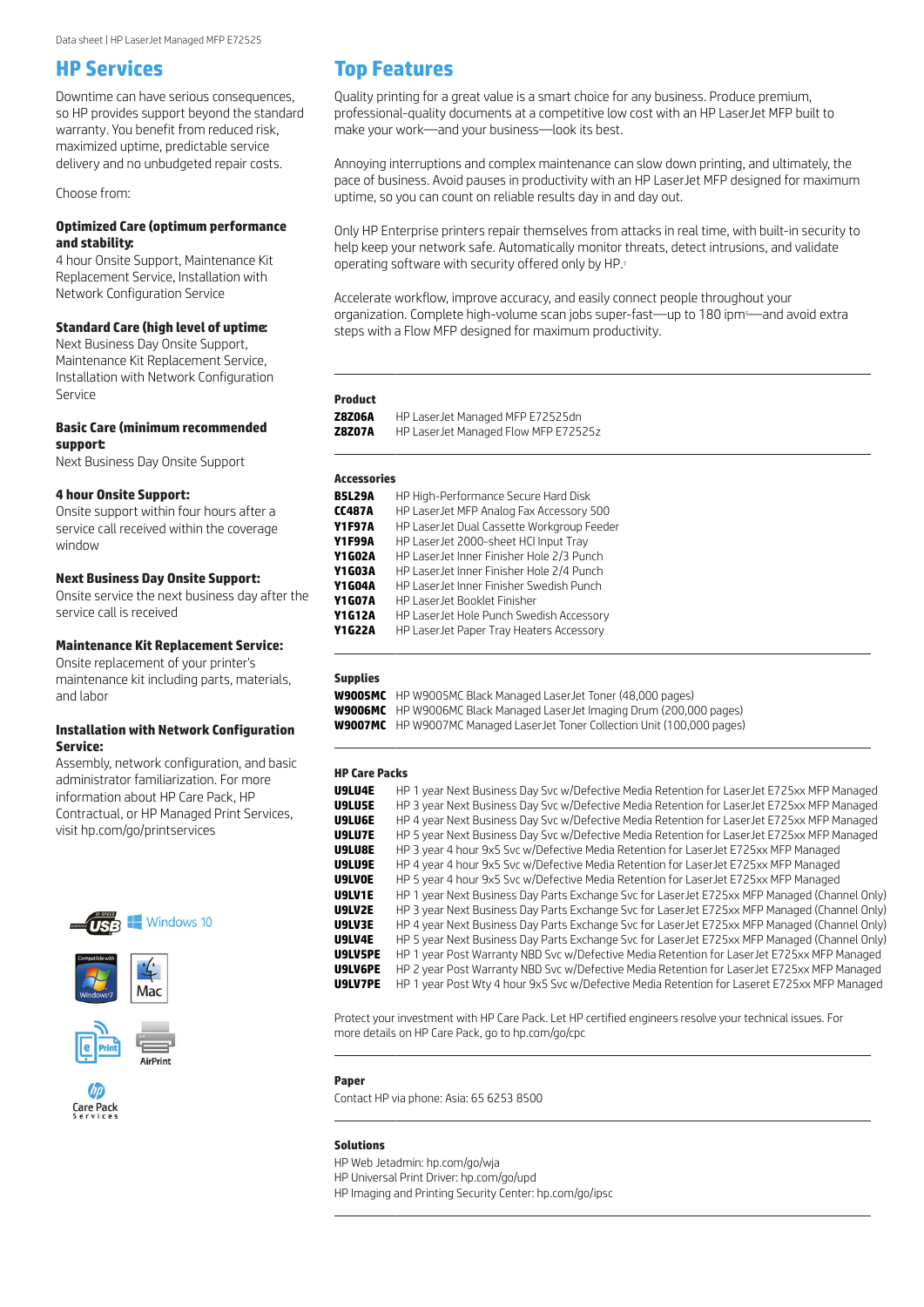# **HP Services**

Downtime can have serious consequences, so HP provides support beyond the standard warranty. You benefit from reduced risk, maximized uptime, predictable service delivery and no unbudgeted repair costs.

Choose from:

## **Optimized Care (optimum performance and stability:**

4 hour Onsite Support, Maintenance Kit Replacement Service, Installation with Network Configuration Service

## **Standard Care (high level of uptime:**

Next Business Day Onsite Support, Maintenance Kit Replacement Service, Installation with Network Configuration Service

#### **Basic Care (minimum recommended support:**

Next Business Day Onsite Support

#### **4 hour Onsite Support:**

Onsite support within four hours after a service call received within the coverage window

#### **Next Business Day Onsite Support:**

Onsite service the next business day after the service call is received

## **Maintenance Kit Replacement Service:**

Onsite replacement of your printer's maintenance kit including parts, materials, and labor

## **Installation with Network Configuration Service:**

Assembly, network configuration, and basic administrator familiarization. For more information about HP Care Pack, HP Contractual, or HP Managed Print Services, visit [hp.com/go/printservices](http://hp.com/go/printservices)







Care Pack



Quality printing for a great value is a smart choice for any business. Produce premium, professional-quality documents at a competitive low cost with an HP LaserJet MFP built to make your work—and your business—look its best.

Annoying interruptions and complex maintenance can slow down printing, and ultimately, the pace of business. Avoid pauses in productivity with an HP LaserJet MFP designed for maximum uptime, so you can count on reliable results day in and day out.

Only HP Enterprise printers repair themselves from attacks in real time, with built-in security to help keep your network safe. Automatically monitor threats, detect intrusions, and validate operating software with security offered only by HP.<sup>1</sup>

Accelerate workflow, improve accuracy, and easily connect people throughout your organization. Complete high-volume scan jobs super-fast—up to 180 ipm<sup>5</sup>—and avoid extra steps with a Flow MFP designed for maximum productivity.

#### **Product**

**Z8Z06A** HP LaserJet Managed MFP E72525dn<br>**Z8Z07A** HP Laser let Managed Flow MFP E725 **Z8Z07A** HP LaserJet Managed Flow MFP E72525z \_

#### **Accessories**

| <b>B5L29A</b> | HP High-Performance Secure Hard Disk       |
|---------------|--------------------------------------------|
| <b>CC487A</b> | HP LaserJet MFP Analog Fax Accessory 500   |
| <b>Y1F97A</b> | HP LaserJet Dual Cassette Workgroup Feeder |
| <b>Y1F99A</b> | HP LaserJet 2000-sheet HCI Input Tray      |
| <b>Y1G02A</b> | HP LaserJet Inner Finisher Hole 2/3 Punch  |
| <b>Y1G03A</b> | HP LaserJet Inner Finisher Hole 2/4 Punch  |
| <b>Y1G04A</b> | HP LaserJet Inner Finisher Swedish Punch   |
| <b>Y1G07A</b> | HP Laser Jet Booklet Finisher              |
| <b>Y1G12A</b> | HP LaserJet Hole Punch Swedish Accessory   |
| <b>Y1G22A</b> | HP LaserJet Paper Tray Heaters Accessory   |

## **Supplies**

 $\mathcal{L}(\mathcal{L})$ 

**W9005MC** HP W9005MC Black Managed LaserJet Toner (48,000 pages)

**W9006MC** HP W9006MC Black Managed LaserJet Imaging Drum (200,000 pages)

**W9007MC** HP W9007MC Managed LaserJet Toner Collection Unit (100,000 pages)

#### **HP Care Packs**

| U9LU4E        | HP 1 year Next Business Day Svc w/Defective Media Retention for Laser Jet E725xx MFP Managed   |
|---------------|------------------------------------------------------------------------------------------------|
| U9LU5E        | HP 3 year Next Business Day Svc w/Defective Media Retention for LaserJet E725xx MFP Managed    |
| U9LU6E        | HP 4 year Next Business Day Svc w/Defective Media Retention for LaserJet E725xx MFP Managed    |
| U9LU7E        | HP 5 year Next Business Day Svc w/Defective Media Retention for LaserJet E725xx MFP Managed    |
| U9LU8E        | HP 3 year 4 hour 9x5 Svc w/Defective Media Retention for LaserJet E725xx MFP Managed           |
| U9LU9E        | HP 4 year 4 hour 9x5 Svc w/Defective Media Retention for LaserJet E725xx MFP Managed           |
| <b>U9LVOE</b> | HP 5 year 4 hour 9x5 Svc w/Defective Media Retention for LaserJet E725xx MFP Managed           |
| U9LV1E        | HP 1 year Next Business Day Parts Exchange Svc for Laser Jet E725xx MFP Managed (Channel Only) |
| U9LV2E        | HP 3 year Next Business Day Parts Exchange Svc for Laser Jet E725xx MFP Managed (Channel Only) |
| U9LV3E        | HP 4 year Next Business Day Parts Exchange Svc for Laser Jet E725xx MFP Managed (Channel Only) |
| U9LV4E        | HP 5 year Next Business Day Parts Exchange Svc for Laser Jet E725xx MFP Managed (Channel Only) |
| U9LV5PE       | HP 1 year Post Warranty NBD Svc w/Defective Media Retention for LaserJet E725xx MFP Managed    |
| U9LV6PE       | HP 2 year Post Warranty NBD Svc w/Defective Media Retention for LaserJet E725xx MFP Managed    |
| U9LV7PE       | HP 1 year Post Wty 4 hour 9x5 Svc w/Defective Media Retention for Laseret E725xx MFP Managed   |

Protect your investment with HP Care Pack. Let HP certified engineers resolve your technical issues. For more details on HP Care Pack, go to hp.com/go/cpc

#### **Paper**

 $\mathcal{L}(\mathcal{L})$ 

 $\mathcal{L}(\mathcal{L})$ 

Contact HP via phone: Asia: 65 6253 8500

#### **Solutions**

HP Web Jetadmin: hp.com/go/wja

HP Universal Print Driver: hp.com/go/upd

HP Imaging and Printing Security Ce[nter: hp.com/go](http://hp.com/go/cpc)/ipsc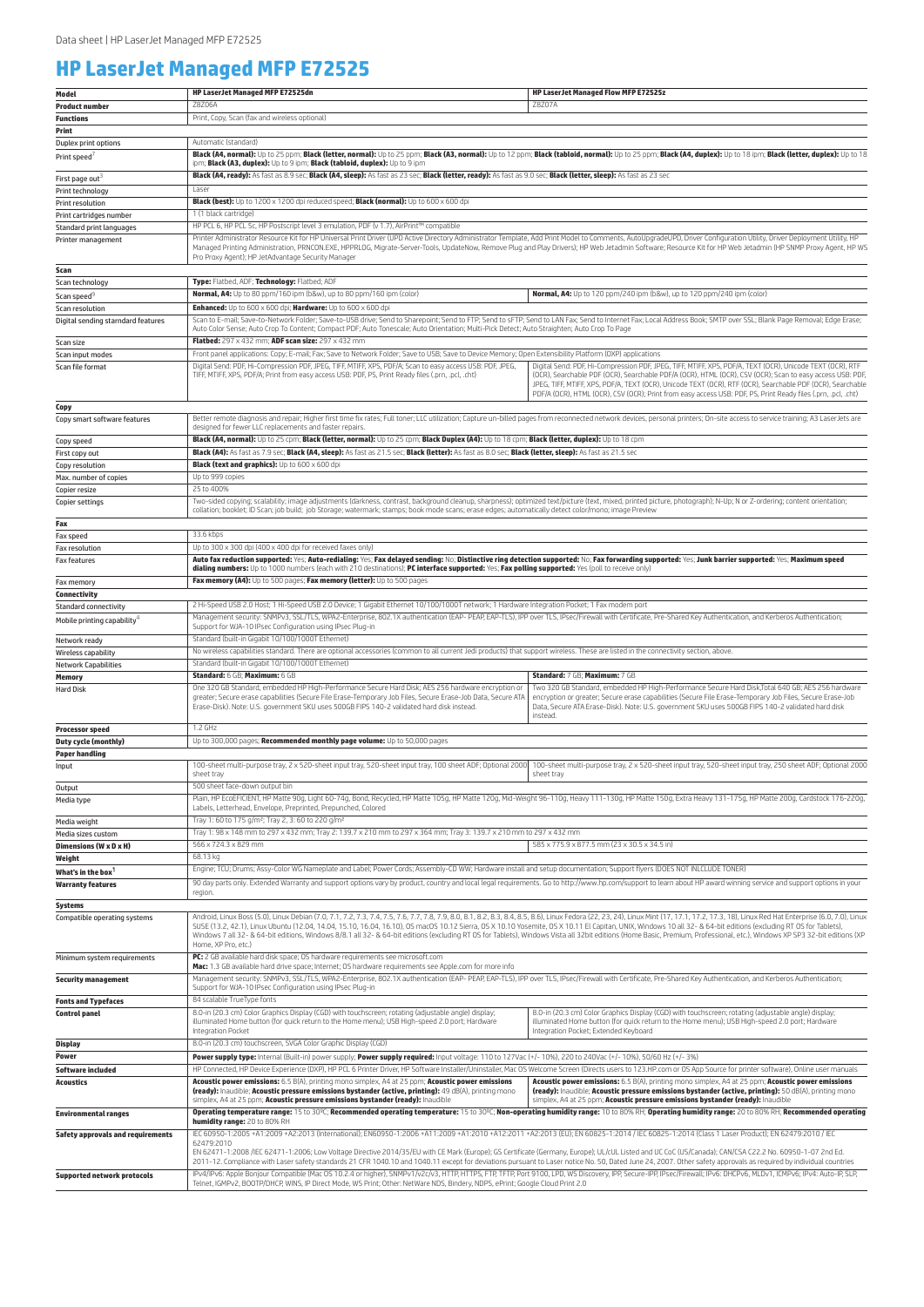# **HP LaserJet Managed MFP E72525**

| Model                                                      | HP LaserJet Managed MFP E72525dn                                                                                                                                                                                                                                                                                                                                                                                                                                                                                                                                                                                                                                                                         | <b>HP LaserJet Managed Flow MFP E72525z</b>                                                                                                                                                                                                                                                                                                                                                                                                          |  |
|------------------------------------------------------------|----------------------------------------------------------------------------------------------------------------------------------------------------------------------------------------------------------------------------------------------------------------------------------------------------------------------------------------------------------------------------------------------------------------------------------------------------------------------------------------------------------------------------------------------------------------------------------------------------------------------------------------------------------------------------------------------------------|------------------------------------------------------------------------------------------------------------------------------------------------------------------------------------------------------------------------------------------------------------------------------------------------------------------------------------------------------------------------------------------------------------------------------------------------------|--|
| <b>Product number</b>                                      | Z8Z06A                                                                                                                                                                                                                                                                                                                                                                                                                                                                                                                                                                                                                                                                                                   | Z8Z07A                                                                                                                                                                                                                                                                                                                                                                                                                                               |  |
| <b>Functions</b>                                           | Print, Copy, Scan (fax and wireless optional)                                                                                                                                                                                                                                                                                                                                                                                                                                                                                                                                                                                                                                                            |                                                                                                                                                                                                                                                                                                                                                                                                                                                      |  |
| Print                                                      |                                                                                                                                                                                                                                                                                                                                                                                                                                                                                                                                                                                                                                                                                                          |                                                                                                                                                                                                                                                                                                                                                                                                                                                      |  |
| Duplex print options                                       | Automatic (standard)                                                                                                                                                                                                                                                                                                                                                                                                                                                                                                                                                                                                                                                                                     |                                                                                                                                                                                                                                                                                                                                                                                                                                                      |  |
| Print speed                                                | Black (A4, normal): Up to 25 ppm; Black (letter, normal): Up to 25 ppm; Black (A3, normal): Up to 12 ppm; Black (tabloid, normal): Up to 25 ppm; Black (A4, duplex): Up to 18 ipm; Black (letter, duplex): Up to 18 ipm; Black<br>ipm; Black (A3, duplex): Up to 9 ipm; Black (tabloid, duplex): Up to 9 ipm                                                                                                                                                                                                                                                                                                                                                                                             |                                                                                                                                                                                                                                                                                                                                                                                                                                                      |  |
| First page out <sup>3</sup>                                | Black (A4, ready): As fast as 8.9 sec; Black (A4, sleep): As fast as 23 sec; Black (letter, ready): As fast as 9.0 sec; Black (letter, sleep): As fast as 23 sec                                                                                                                                                                                                                                                                                                                                                                                                                                                                                                                                         |                                                                                                                                                                                                                                                                                                                                                                                                                                                      |  |
| Print technology                                           | Laser                                                                                                                                                                                                                                                                                                                                                                                                                                                                                                                                                                                                                                                                                                    |                                                                                                                                                                                                                                                                                                                                                                                                                                                      |  |
| Print resolution                                           | Black (best): Up to 1200 x 1200 dpi reduced speed; Black (normal): Up to 600 x 600 dpi                                                                                                                                                                                                                                                                                                                                                                                                                                                                                                                                                                                                                   |                                                                                                                                                                                                                                                                                                                                                                                                                                                      |  |
| Print cartridges number                                    | 1 (1 black cartridge)                                                                                                                                                                                                                                                                                                                                                                                                                                                                                                                                                                                                                                                                                    |                                                                                                                                                                                                                                                                                                                                                                                                                                                      |  |
| Standard print languages<br>Printer management             | HP PCL 6, HP PCL 5c, HP Postscript level 3 emulation, PDF (v 1.7), AirPrint™ compatible<br>Printer Administrator Resource Kit for HP Universal Print Driver (UPD Active Directory Administrator Template, Add Print Model to Comments, AutoUpgradeUPD, Driver Configuration Utility, Driver Deployment Utility, HP                                                                                                                                                                                                                                                                                                                                                                                       |                                                                                                                                                                                                                                                                                                                                                                                                                                                      |  |
|                                                            | Managed Printing Administration, PRNCON.EXE, HPPRLOG, Migrate-Server-Tools, UpdateNow, Remove Plug and Play Drivers); HP Web Jetadmin Software; Resource Kit for HP Web Jetadmin (HP SNMP Proxy Agent, HP WS<br>Pro Proxy Agent); HP JetAdvantage Security Manager                                                                                                                                                                                                                                                                                                                                                                                                                                       |                                                                                                                                                                                                                                                                                                                                                                                                                                                      |  |
| Scan                                                       |                                                                                                                                                                                                                                                                                                                                                                                                                                                                                                                                                                                                                                                                                                          |                                                                                                                                                                                                                                                                                                                                                                                                                                                      |  |
| Scan technology                                            | Type: Flatbed, ADF; Technology: Flatbed; ADF                                                                                                                                                                                                                                                                                                                                                                                                                                                                                                                                                                                                                                                             |                                                                                                                                                                                                                                                                                                                                                                                                                                                      |  |
| Scan speed <sup>9</sup>                                    | Normal, A4: Up to 80 ppm/160 ipm (b&w), up to 80 ppm/160 ipm (color)<br>Enhanced: Up to 600 x 600 dpi; Hardware: Up to 600 x 600 dpi                                                                                                                                                                                                                                                                                                                                                                                                                                                                                                                                                                     | Normal, A4: Up to 120 ppm/240 ipm (b&w), up to 120 ppm/240 ipm (color)                                                                                                                                                                                                                                                                                                                                                                               |  |
| Scan resolution<br>Digital sending starndard features      | Scan to E-mail; Save-to-Network Folder; Save-to-USB drive; Send to Sharepoint; Send to FTP; Send to SFTP; Send to LAN Fax; Send to Internet Fax; Local Address Book; SMTP over SSL; Blank Page Removal; Edge Erase;<br>Auto Color Sense; Auto Crop To Content; Compact PDF; Auto Tonescale; Auto Orientation; Multi-Pick Detect; Auto Straighten; Auto Crop To Page                                                                                                                                                                                                                                                                                                                                      |                                                                                                                                                                                                                                                                                                                                                                                                                                                      |  |
| Scan size                                                  | Flatbed: 297 x 432 mm; ADF scan size: 297 x 432 mm                                                                                                                                                                                                                                                                                                                                                                                                                                                                                                                                                                                                                                                       |                                                                                                                                                                                                                                                                                                                                                                                                                                                      |  |
| Scan input modes                                           | Front panel applications: Copy; E-mail; Fax; Save to Network Folder; Save to USB; Save to Device Memory; Open Extensibility Platform (OXP) applications                                                                                                                                                                                                                                                                                                                                                                                                                                                                                                                                                  |                                                                                                                                                                                                                                                                                                                                                                                                                                                      |  |
| Scan file format                                           | Digital Send: PDF, Hi-Compression PDF, JPEG, TIFF, MTIFF, XPS, PDF/A; Scan to easy access USB: PDF, JPEG,<br>TIFF, MTIFF, XPS, PDF/A; Print from easy access USB: PDF, PS, Print Ready files (.prn, .pcl, .cht)                                                                                                                                                                                                                                                                                                                                                                                                                                                                                          | Digital Send: PDF, Hi-Compression PDF, JPEG, TIFF, MTIFF, XPS, PDF/A, TEXT (OCR), Unicode TEXT (OCR), RTF<br>(OCR), Searchable PDF (OCR), Searchable PDF/A (OCR), HTML (OCR), CSV (OCR); Scan to easy access USB: PDF<br>JPEG, TIFF, MTIFF, XPS, PDF/A, TEXT (OCR), Unicode TEXT (OCR), RTF (OCR), Searchable PDF (OCR), Searchable<br>PDF/A (OCR), HTML (OCR), CSV (OCR); Print from easy access USB: PDF, PS, Print Ready files (.prn, .pcl, .cht) |  |
| Copy                                                       |                                                                                                                                                                                                                                                                                                                                                                                                                                                                                                                                                                                                                                                                                                          |                                                                                                                                                                                                                                                                                                                                                                                                                                                      |  |
| Copy smart software features                               | Better remote diagnosis and repair; Higher first time fix rates; Full toner; LLC utilization; Capture un-billed pages from reconnected network devices, personal printers; On-site access to service training; A3 Laser Jets a<br>designed for fewer LLC replacements and faster repairs.                                                                                                                                                                                                                                                                                                                                                                                                                |                                                                                                                                                                                                                                                                                                                                                                                                                                                      |  |
| Copy speed                                                 | Black (A4, normal): Up to 25 cpm; Black (letter, normal): Up to 25 cpm; Black Duplex (A4): Up to 18 cpm; Black (letter, duplex): Up to 18 cpm                                                                                                                                                                                                                                                                                                                                                                                                                                                                                                                                                            |                                                                                                                                                                                                                                                                                                                                                                                                                                                      |  |
| First copy out                                             | Black (A4): As fast as 7.9 sec; Black (A4, sleep): As fast as 21.5 sec; Black (letter): As fast as 8.0 sec; Black (letter, sleep): As fast as 21.5 sec                                                                                                                                                                                                                                                                                                                                                                                                                                                                                                                                                   |                                                                                                                                                                                                                                                                                                                                                                                                                                                      |  |
| Copy resolution                                            | Black (text and graphics): Up to 600 x 600 dpi                                                                                                                                                                                                                                                                                                                                                                                                                                                                                                                                                                                                                                                           |                                                                                                                                                                                                                                                                                                                                                                                                                                                      |  |
| Max. number of copies                                      | Up to 999 copies                                                                                                                                                                                                                                                                                                                                                                                                                                                                                                                                                                                                                                                                                         |                                                                                                                                                                                                                                                                                                                                                                                                                                                      |  |
| Copier resize                                              | 25 to 400%<br>Two-sided copying; scalability; image adjustments (darkness, contrast, background cleanup, sharpness); optimized text/picture (text, mixed, printed picture, photograph); N-Up; N or Z-ordering; content orientation;                                                                                                                                                                                                                                                                                                                                                                                                                                                                      |                                                                                                                                                                                                                                                                                                                                                                                                                                                      |  |
| Copier settings<br>Fax                                     | collation; booklet; ID Scan; job build; job Storage; watermark; stamps; book mode scans; erase edges; automatically detect color/mono; image Preview                                                                                                                                                                                                                                                                                                                                                                                                                                                                                                                                                     |                                                                                                                                                                                                                                                                                                                                                                                                                                                      |  |
| Fax speed                                                  | 33.6 kbps                                                                                                                                                                                                                                                                                                                                                                                                                                                                                                                                                                                                                                                                                                |                                                                                                                                                                                                                                                                                                                                                                                                                                                      |  |
| Fax resolution                                             | Up to 300 x 300 dpi (400 x 400 dpi for received faxes only)                                                                                                                                                                                                                                                                                                                                                                                                                                                                                                                                                                                                                                              |                                                                                                                                                                                                                                                                                                                                                                                                                                                      |  |
| Fax features                                               | Auto fax reduction supported: Yes; Auto-redialing: Yes; Fax delayed sending: No; Distinctive ring detection supported: No; Fax forwarding supported: Yes; Junk barrier supported: Yes; Maximum speed<br>dialing numbers: Up to 1000 numbers (each with 210 destinations); PC interface supported: Yes; Fax polling supported: Yes (poll to receive only)                                                                                                                                                                                                                                                                                                                                                 |                                                                                                                                                                                                                                                                                                                                                                                                                                                      |  |
| Fax memory                                                 | Fax memory (A4): Up to 500 pages; Fax memory (letter): Up to 500 pages                                                                                                                                                                                                                                                                                                                                                                                                                                                                                                                                                                                                                                   |                                                                                                                                                                                                                                                                                                                                                                                                                                                      |  |
| Connectivity                                               |                                                                                                                                                                                                                                                                                                                                                                                                                                                                                                                                                                                                                                                                                                          |                                                                                                                                                                                                                                                                                                                                                                                                                                                      |  |
| <b>Standard connectivity</b>                               | 2 Hi-Speed USB 2.0 Host; 1 Hi-Speed USB 2.0 Device; 1 Gigabit Ethernet 10/100/1000T network; 1 Hardware Integration Pocket; 1 Fax modem port                                                                                                                                                                                                                                                                                                                                                                                                                                                                                                                                                             |                                                                                                                                                                                                                                                                                                                                                                                                                                                      |  |
| Mobile printing capability <sup>4</sup>                    | Management security: SNMPv3, SSL/TLS, WPA2-Enterprise, 802.1X authentication (EAP- PEAP, EAP-TLS), IPP over TLS, IPsec/Firewall with Certificate, Pre-Shared Key Authentication, and Kerberos Authentication;<br>Support for WJA-10 IPsec Configuration using IPsec Plug-in                                                                                                                                                                                                                                                                                                                                                                                                                              |                                                                                                                                                                                                                                                                                                                                                                                                                                                      |  |
| Network ready                                              | Standard (built-in Gigabit 10/100/1000T Ethernet)<br>No wireless capabilities standard. There are optional accessories (common to all current Jedi products) that support wireless. These are listed in the connectivity section, above.                                                                                                                                                                                                                                                                                                                                                                                                                                                                 |                                                                                                                                                                                                                                                                                                                                                                                                                                                      |  |
| Wireless capability<br><b>Network Capabilities</b>         | Standard (built-in Gigabit 10/100/1000T Ethernet)                                                                                                                                                                                                                                                                                                                                                                                                                                                                                                                                                                                                                                                        |                                                                                                                                                                                                                                                                                                                                                                                                                                                      |  |
| Memory                                                     | Standard: 6 GB; Maximum: 6 GB                                                                                                                                                                                                                                                                                                                                                                                                                                                                                                                                                                                                                                                                            | Standard: 7 GB; Maximum: 7 GB                                                                                                                                                                                                                                                                                                                                                                                                                        |  |
| <b>Hard Disk</b>                                           | One 320 GB Standard, embedded HP High-Performance Secure Hard Disk; AES 256 hardware encryption or<br>greater; Secure erase capabilities (Secure File Erase-Temporary Job Files, Secure Erase-Job Data, Secure ATA<br>Erase-Disk). Note: U.S. government SKU uses 500GB FIPS 140-2 validated hard disk instead.                                                                                                                                                                                                                                                                                                                                                                                          | Two 320 GB Standard, embedded HP High-Performance Secure Hard Disk, Total 640 GB; AES 256 hardware<br>encryption or greater; Secure erase capabilities (Secure File Erase-Temporary Job Files, Secure Erase-Job<br>Data, Secure ATA Erase-Disk). Note: U.S. government SKU uses 500GB FIPS 140-2 validated hard disk<br>instead.                                                                                                                     |  |
| <b>Processor speed</b>                                     | 1.2 GHz                                                                                                                                                                                                                                                                                                                                                                                                                                                                                                                                                                                                                                                                                                  |                                                                                                                                                                                                                                                                                                                                                                                                                                                      |  |
| <b>Duty cycle (monthly)</b>                                | Up to 300,000 pages; Recommended monthly page volume: Up to 50,000 pages                                                                                                                                                                                                                                                                                                                                                                                                                                                                                                                                                                                                                                 |                                                                                                                                                                                                                                                                                                                                                                                                                                                      |  |
| <b>Paper handling</b><br>Input                             | 100-sheet multi-purpose tray, 2 x 520-sheet input tray, 520-sheet input tray, 100 sheet ADF; Optional 2000                                                                                                                                                                                                                                                                                                                                                                                                                                                                                                                                                                                               | 100-sheet multi-purpose tray, 2 x 520-sheet input tray, 520-sheet input tray, 250 sheet ADF; Optional 2000                                                                                                                                                                                                                                                                                                                                           |  |
|                                                            | sheet tray                                                                                                                                                                                                                                                                                                                                                                                                                                                                                                                                                                                                                                                                                               | sheet tray                                                                                                                                                                                                                                                                                                                                                                                                                                           |  |
| Output<br>Media type                                       | 500 sheet face-down output bin<br>Plain, HP EcoEFICIENT, HP Matte 90g, Light 60-74g, Bond, Recycled, HP Matte 105g, HP Matte 120g, Mid-Weight 96-110g, Heavy 111-130g, HP Matte 150g, Extra Heavy 131-175g, HP Matte 200g, Cardstock 176-220g,<br>Labels, Letterhead, Envelope, Preprinted, Prepunched, Colored                                                                                                                                                                                                                                                                                                                                                                                          |                                                                                                                                                                                                                                                                                                                                                                                                                                                      |  |
| Media weight                                               | Tray 1: 60 to 175 g/m <sup>2</sup> ; Tray 2, 3: 60 to 220 g/m <sup>2</sup>                                                                                                                                                                                                                                                                                                                                                                                                                                                                                                                                                                                                                               |                                                                                                                                                                                                                                                                                                                                                                                                                                                      |  |
| Media sizes custom                                         | Tray 1: 98 x 148 mm to 297 x 432 mm; Tray 2: 139.7 x 210 mm to 297 x 364 mm; Tray 3: 139.7 x 210 mm to 297 x 432 mm                                                                                                                                                                                                                                                                                                                                                                                                                                                                                                                                                                                      |                                                                                                                                                                                                                                                                                                                                                                                                                                                      |  |
| Dimensions (W x D x H)                                     | 566 x 724.3 x 829 mm                                                                                                                                                                                                                                                                                                                                                                                                                                                                                                                                                                                                                                                                                     | 585 x 775.9 x 877.5 mm (23 x 30.5 x 34.5 in)                                                                                                                                                                                                                                                                                                                                                                                                         |  |
| Weight                                                     | 68.13 kg<br>Engine; TCU; Drums; Assy-Color WG Nameplate and Label; Power Cords; Assembly-CD WW; Hardware install and setup documentation; Support flyers (DOES NOT INLCLUDE TONER)                                                                                                                                                                                                                                                                                                                                                                                                                                                                                                                       |                                                                                                                                                                                                                                                                                                                                                                                                                                                      |  |
| What's in the box <sup>1</sup><br><b>Warranty features</b> | 90 day parts only. Extended Warranty and support options vary by product, country and local legal requirements. Go to http://www.hp.com/support to learn about HP award winning service and support options in your                                                                                                                                                                                                                                                                                                                                                                                                                                                                                      |                                                                                                                                                                                                                                                                                                                                                                                                                                                      |  |
|                                                            | region.                                                                                                                                                                                                                                                                                                                                                                                                                                                                                                                                                                                                                                                                                                  |                                                                                                                                                                                                                                                                                                                                                                                                                                                      |  |
| <b>Systems</b>                                             |                                                                                                                                                                                                                                                                                                                                                                                                                                                                                                                                                                                                                                                                                                          |                                                                                                                                                                                                                                                                                                                                                                                                                                                      |  |
| Compatible operating systems                               | Android, Linux Boss (5.0), Linux Debian (7.0, 7.1, 7.2, 7.3, 7.4, 7.5, 7.6, 7.7, 7.8, 7.9, 8.0, 8.1, 8.2, 8.3, 8.4, 8.5, 8.6), Linux Fedora (22, 23, 24), Linux Mint (17, 17.1, 17.2, 17.3, 173, 18), Linux Red Hat Enterprise<br>SUSE (13.2, 42.1), Linux Ubuntu (12.04, 14.04, 15.10, 16.04, 16.10), OS macOS 10.12 Sierra, OS X 10.10 Yosemite, OS X 10.11 El Capitan, UNIX, Windows 10 all 32- & 64-bit editions (excluding RT OS for Tablets),<br>Windows 7 all 32- & 64-bit editions, Windows 8/8.1 all 32- & 64-bit editions (excluding RT OS for Tablets), Windows Vista all 32bit editions (Home Basic, Premium, Professional, etc.), Windows XP SP3 32-bit editions (XP<br>Home, XP Pro, etc.) |                                                                                                                                                                                                                                                                                                                                                                                                                                                      |  |
| Minimum system requirements                                | PC: 2 GB available hard disk space; OS hardware requirements see microsoft.com<br>Mac: 1.3 GB available hard drive space; Internet; OS hardware requirements see Apple.com for more info                                                                                                                                                                                                                                                                                                                                                                                                                                                                                                                 |                                                                                                                                                                                                                                                                                                                                                                                                                                                      |  |
| <b>Security management</b>                                 | Management security: SNMPv3, SSL/TLS, WPA2-Enterprise, 802.1X authentication (EAP- PEAP, EAP-TLS), IPP over TLS, IPsec/Firewall with Certificate, Pre-Shared Key Authentication, and Kerberos Authentication;<br>Support for WJA-10 IPsec Configuration using IPsec Plug-in                                                                                                                                                                                                                                                                                                                                                                                                                              |                                                                                                                                                                                                                                                                                                                                                                                                                                                      |  |
| <b>Fonts and Typefaces</b>                                 |                                                                                                                                                                                                                                                                                                                                                                                                                                                                                                                                                                                                                                                                                                          |                                                                                                                                                                                                                                                                                                                                                                                                                                                      |  |
| <b>Control panel</b>                                       | 84 scalable TrueType fonts                                                                                                                                                                                                                                                                                                                                                                                                                                                                                                                                                                                                                                                                               |                                                                                                                                                                                                                                                                                                                                                                                                                                                      |  |
|                                                            | 8.0-in (20.3 cm) Color Graphics Display (CGD) with touchscreen; rotating (adjustable angle) display;<br>illuminated Home button (for quick return to the Home menu); USB High-speed 2.0 port; Hardware<br>Integration Pocket                                                                                                                                                                                                                                                                                                                                                                                                                                                                             | 8.0-in (20.3 cm) Color Graphics Display (CGD) with touchscreen; rotating (adjustable angle) display;<br>illuminated Home button (for quick return to the Home menu); USB High-speed 2.0 port; Hardware<br>Integration Pocket; Extended Keyboard                                                                                                                                                                                                      |  |
| Display                                                    | 8.0-in (20.3 cm) touchscreen, SVGA Color Graphic Display (CGD)                                                                                                                                                                                                                                                                                                                                                                                                                                                                                                                                                                                                                                           |                                                                                                                                                                                                                                                                                                                                                                                                                                                      |  |
| Power                                                      | Power supply type: Internal (Built-in) power supply; Power supply required: Input voltage: 110 to 127Vac (+/-10%), 220 to 240Vac (+/-10%), 50/60 Hz (+/-3%)                                                                                                                                                                                                                                                                                                                                                                                                                                                                                                                                              |                                                                                                                                                                                                                                                                                                                                                                                                                                                      |  |
| <b>Software included</b><br><b>Acoustics</b>               | HP Connected, HP Device Experience (DXP), HP PCL 6 Printer Driver, HP Software Installer/Uninstaller, Mac OS Welcome Screen (Directs users to 123.HP.com or OS App Source for printer software), Online user manuals<br>Acoustic power emissions: 6.5 B(A), printing mono simplex, A4 at 25 ppm; Acoustic power emissions<br>(ready): Inaudible; Acoustic pressure emissions bystander (active, printing): 49 dB(A), printing mono<br>simplex, A4 at 25 ppm; Acoustic pressure emissions bystander (ready): Inaudible                                                                                                                                                                                    | Acoustic power emissions: 6.5 B(A), printing mono simplex, A4 at 25 ppm; Acoustic power emissions<br>(ready): Inaudible; Acoustic pressure emissions bystander (active, printing): 50 dB(A), printing mono<br>simplex, A4 at 25 ppm; Acoustic pressure emissions bystander (ready): Inaudible                                                                                                                                                        |  |
| <b>Environmental ranges</b>                                |                                                                                                                                                                                                                                                                                                                                                                                                                                                                                                                                                                                                                                                                                                          | Operating temperature range: 15 to 30°C; Recommended operating temperature: 15 to 30°C; Non-operating humidity range: 10 to 80% RH; Operating humidity range: 20 to 80% RH; Recommended operating                                                                                                                                                                                                                                                    |  |
| <b>Safety approvals and requirements</b>                   | humidity range: 20 to 80% RH<br>IEC 60950-1:2005 +A1:2009 +A2:2013 (International); EN60950-1:2006 +A11:2009 +A1:2010 +A12:2011 +A2:2013 (EU); EN 60825-1:2014 / IEC 60825-1:2014 (Class 1 Laser Product); EN 62479:2010 / IEC<br>62479:2010<br>EN 62471-1:2008 /IEC 62471-1:2006; Low Voltage Directive 2014/35/EU with CE Mark (Europe); GS Certificate (Germany, Europe); UL/cUL Listed and UC CoC (US/Canada); CAN/CSA C22.2 No. 60950-1-07 2nd Ed.                                                                                                                                                                                                                                                  |                                                                                                                                                                                                                                                                                                                                                                                                                                                      |  |
| <b>Supported network protocols</b>                         | 2011-12. Compliance with Laser safety standards 21 CFR 1040.10 and 1040.11 except for deviations pursuant to Laser notice No. 50, Dated June 24, 2007. Other safety approvals as required by individual countries<br>IPv4/IPv6: Apple Bonjour Compatible (Mac OS 10.2.4 or higher), SNMPv1/v2c/v3, HTTP, HTTPS, FTP, TFTP, Port 9100, LPD, WS Discovery, IPP, Secure-IPP, IPsec/Firewall; IPv6: DHCPv6, MLDv1, ICMPv6; IPv4: Auto-IP, SLP,                                                                                                                                                                                                                                                               |                                                                                                                                                                                                                                                                                                                                                                                                                                                      |  |